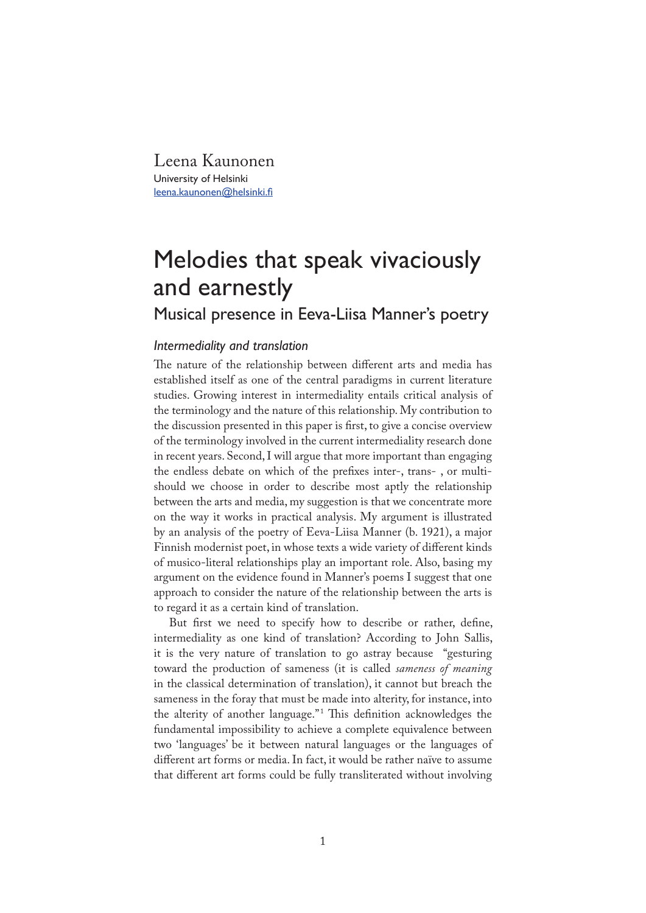Leena Kaunonen University of Helsinki leena.kaunonen@helsinki.fi

# Melodies that speak vivaciously and earnestly

# Musical presence in Eeva-Liisa Manner's poetry

## *Intermediality and translation*

The nature of the relationship between different arts and media has established itself as one of the central paradigms in current literature studies. Growing interest in intermediality entails critical analysis of the terminology and the nature of this relationship. My contribution to the discussion presented in this paper is �rst, to give a concise overview of the terminology involved in the current intermediality research done in recent years. Second, I will argue that more important than engaging the endless debate on which of the pre�xes inter-, trans- , or multishould we choose in order to describe most aptly the relationship between the arts and media, my suggestion is that we concentrate more on the way it works in practical analysis. My argument is illustrated by an analysis of the poetry of Eeva-Liisa Manner (b. 1921), a major Finnish modernist poet, in whose texts a wide variety of different kinds of musico-literal relationships play an important role. Also, basing my argument on the evidence found in Manner's poems I suggest that one approach to consider the nature of the relationship between the arts is to regard it as a certain kind of translation.

But first we need to specify how to describe or rather, define, intermediality as one kind of translation? According to John Sallis, it is the very nature of translation to go astray because "gesturing toward the production of sameness (it is called *sameness of meaning* in the classical determination of translation), it cannot but breach the sameness in the foray that must be made into alterity, for instance, into the alterity of another language."<sup>1</sup> This definition acknowledges the fundamental impossibility to achieve a complete equivalence between two 'languages' be it between natural languages or the languages of different art forms or media. In fact, it would be rather naïve to assume that different art forms could be fully transliterated without involving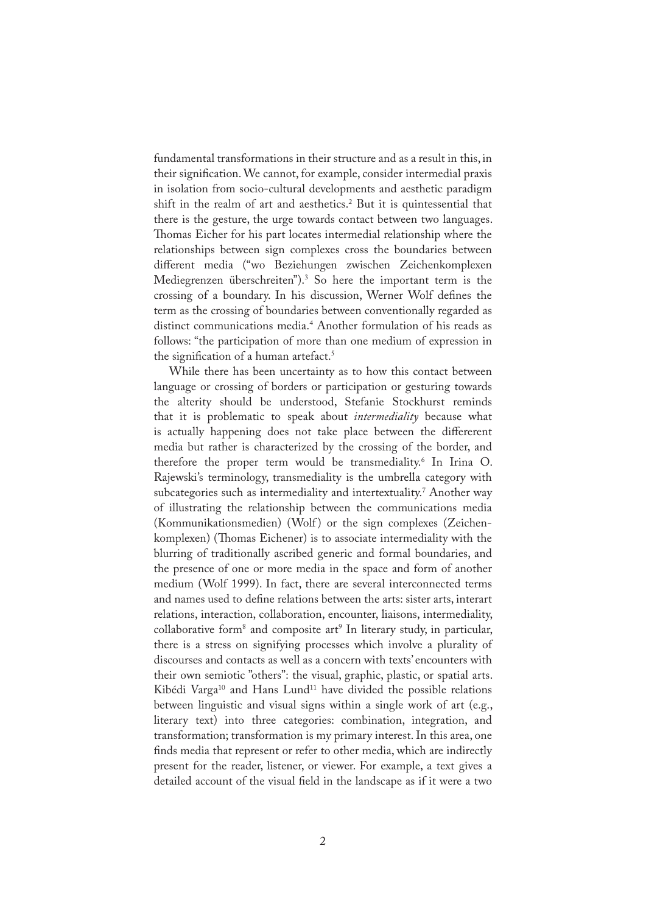fundamental transformations in their structure and as a result in this, in their signification. We cannot, for example, consider intermedial praxis in isolation from socio-cultural developments and aesthetic paradigm shift in the realm of art and aesthetics.<sup>2</sup> But it is quintessential that there is the gesture, the urge towards contact between two languages. Thomas Eicher for his part locates intermedial relationship where the relationships between sign complexes cross the boundaries between different media ("wo Beziehungen zwischen Zeichenkomplexen Mediegrenzen überschreiten").3 So here the important term is the crossing of a boundary. In his discussion, Werner Wolf de�nes the term as the crossing of boundaries between conventionally regarded as distinct communications media.4 Another formulation of his reads as follows: "the participation of more than one medium of expression in the signification of a human artefact.<sup>5</sup>

While there has been uncertainty as to how this contact between language or crossing of borders or participation or gesturing towards the alterity should be understood, Stefanie Stockhurst reminds that it is problematic to speak about *intermediality* because what is actually happening does not take place between the differerent media but rather is characterized by the crossing of the border, and therefore the proper term would be transmediality.<sup>6</sup> In Irina O. Rajewski's terminology, transmediality is the umbrella category with subcategories such as intermediality and intertextuality.7 Another way of illustrating the relationship between the communications media (Kommunikationsmedien) (Wolf) or the sign complexes (Zeichenkomplexen) (Thomas Eichener) is to associate intermediality with the blurring of traditionally ascribed generic and formal boundaries, and the presence of one or more media in the space and form of another medium (Wolf 1999). In fact, there are several interconnected terms and names used to define relations between the arts: sister arts, interart relations, interaction, collaboration, encounter, liaisons, intermediality, collaborative form<sup>8</sup> and composite art<sup>9</sup> In literary study, in particular, there is a stress on signifying processes which involve a plurality of discourses and contacts as well as a concern with texts' encounters with their own semiotic "others": the visual, graphic, plastic, or spatial arts. Kibédi Varga<sup>10</sup> and Hans Lund<sup>11</sup> have divided the possible relations between linguistic and visual signs within a single work of art (e.g., literary text) into three categories: combination, integration, and transformation; transformation is my primary interest. In this area, one finds media that represent or refer to other media, which are indirectly present for the reader, listener, or viewer. For example, a text gives a detailed account of the visual field in the landscape as if it were a two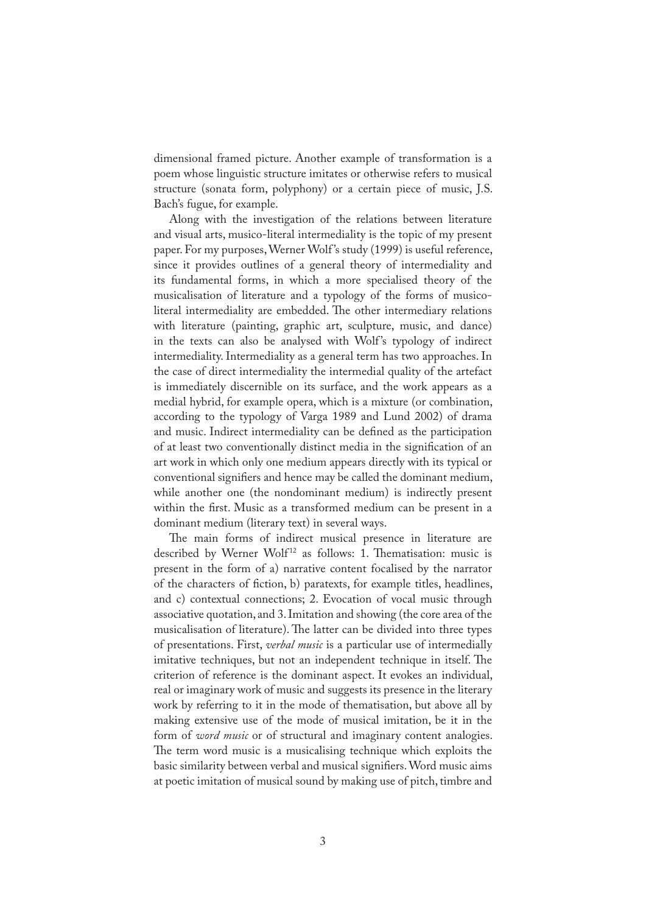dimensional framed picture. Another example of transformation is a poem whose linguistic structure imitates or otherwise refers to musical structure (sonata form, polyphony) or a certain piece of music, J.S. Bach's fugue, for example.

Along with the investigation of the relations between literature and visual arts, musico-literal intermediality is the topic of my present paper. For my purposes, Werner Wolf 's study (1999) is useful reference, since it provides outlines of a general theory of intermediality and its fundamental forms, in which a more specialised theory of the musicalisation of literature and a typology of the forms of musicoliteral intermediality are embedded. The other intermediary relations with literature (painting, graphic art, sculpture, music, and dance) in the texts can also be analysed with Wolf's typology of indirect intermediality. Intermediality as a general term has two approaches. In the case of direct intermediality the intermedial quality of the artefact is immediately discernible on its surface, and the work appears as a medial hybrid, for example opera, which is a mixture (or combination, according to the typology of Varga 1989 and Lund 2002) of drama and music. Indirect intermediality can be defined as the participation of at least two conventionally distinct media in the signification of an art work in which only one medium appears directly with its typical or conventional signifiers and hence may be called the dominant medium, while another one (the nondominant medium) is indirectly present within the first. Music as a transformed medium can be present in a dominant medium (literary text) in several ways.

The main forms of indirect musical presence in literature are described by Werner Wolf<sup>12</sup> as follows: 1. Thematisation: music is present in the form of a) narrative content focalised by the narrator of the characters of fiction, b) paratexts, for example titles, headlines, and c) contextual connections; 2. Evocation of vocal music through associative quotation, and 3. Imitation and showing (the core area of the musicalisation of literature). The latter can be divided into three types of presentations. First, *verbal music* is a particular use of intermedially imitative techniques, but not an independent technique in itself. The criterion of reference is the dominant aspect. It evokes an individual, real or imaginary work of music and suggests its presence in the literary work by referring to it in the mode of thematisation, but above all by making extensive use of the mode of musical imitation, be it in the form of *word music* or of structural and imaginary content analogies. The term word music is a musicalising technique which exploits the basic similarity between verbal and musical signi�ers. Word music aims at poetic imitation of musical sound by making use of pitch, timbre and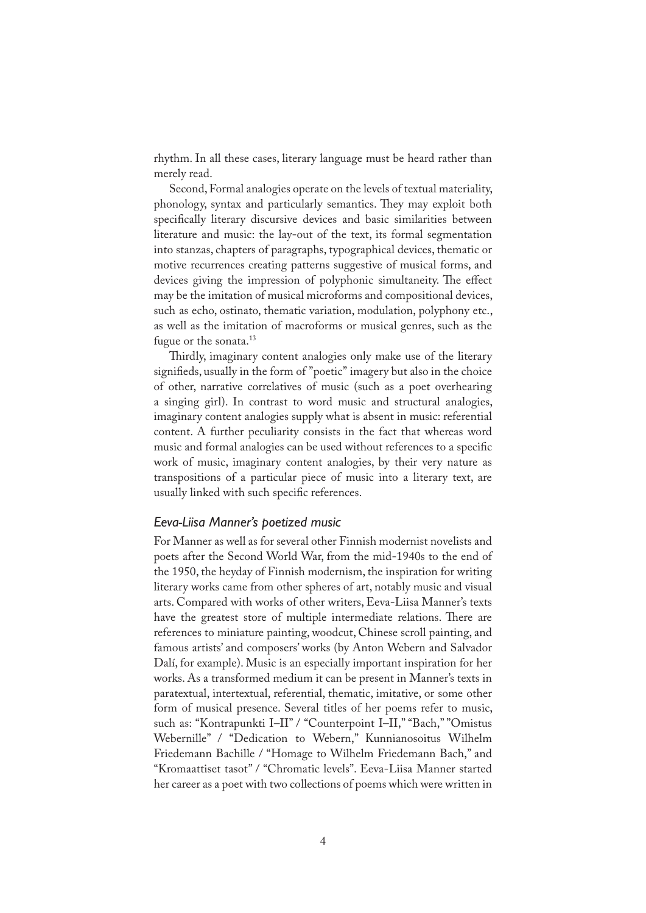rhythm. In all these cases, literary language must be heard rather than merely read.

Second, Formal analogies operate on the levels of textual materiality, phonology, syntax and particularly semantics. They may exploit both specifically literary discursive devices and basic similarities between literature and music: the lay-out of the text, its formal segmentation into stanzas, chapters of paragraphs, typographical devices, thematic or motive recurrences creating patterns suggestive of musical forms, and devices giving the impression of polyphonic simultaneity. The effect may be the imitation of musical microforms and compositional devices, such as echo, ostinato, thematic variation, modulation, polyphony etc., as well as the imitation of macroforms or musical genres, such as the fugue or the sonata.<sup>13</sup>

Thirdly, imaginary content analogies only make use of the literary signifieds, usually in the form of "poetic" imagery but also in the choice of other, narrative correlatives of music (such as a poet overhearing a singing girl). In contrast to word music and structural analogies, imaginary content analogies supply what is absent in music: referential content. A further peculiarity consists in the fact that whereas word music and formal analogies can be used without references to a specific work of music, imaginary content analogies, by their very nature as transpositions of a particular piece of music into a literary text, are usually linked with such specific references.

### *Eeva-Liisa Manner's poetized music*

For Manner as well as for several other Finnish modernist novelists and poets after the Second World War, from the mid-1940s to the end of the 1950, the heyday of Finnish modernism, the inspiration for writing literary works came from other spheres of art, notably music and visual arts. Compared with works of other writers, Eeva-Liisa Manner's texts have the greatest store of multiple intermediate relations. There are references to miniature painting, woodcut, Chinese scroll painting, and famous artists' and composers' works (by Anton Webern and Salvador Dalí, for example). Music is an especially important inspiration for her works. As a transformed medium it can be present in Manner's texts in paratextual, intertextual, referential, thematic, imitative, or some other form of musical presence. Several titles of her poems refer to music, such as: "Kontrapunkti I–II" / "Counterpoint I–II," "Bach," "Omistus Webernille" / "Dedication to Webern," Kunnianosoitus Wilhelm Friedemann Bachille / "Homage to Wilhelm Friedemann Bach," and "Kromaattiset tasot" / "Chromatic levels". Eeva-Liisa Manner started her career as a poet with two collections of poems which were written in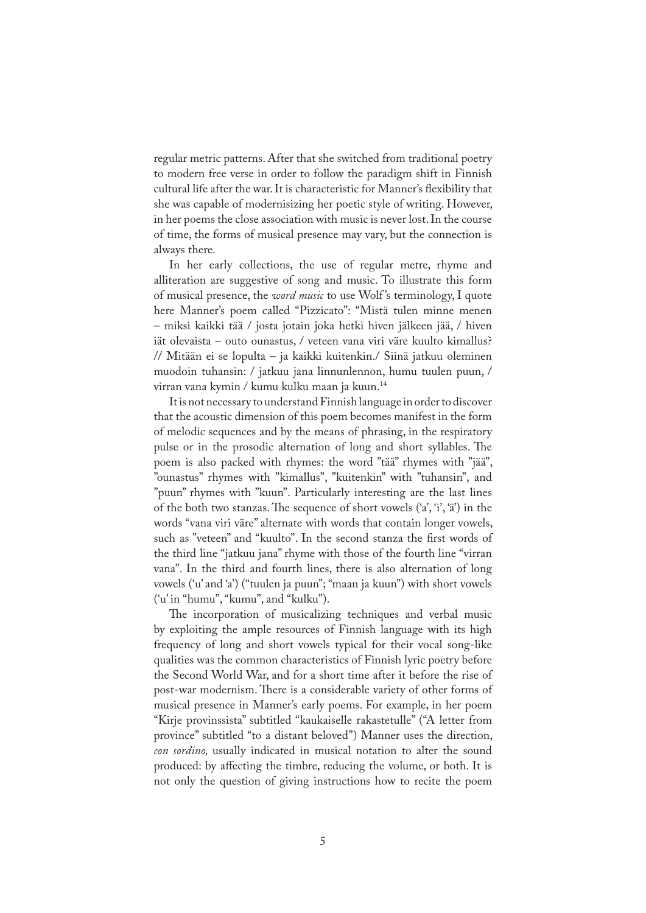regular metric patterns. After that she switched from traditional poetry to modern free verse in order to follow the paradigm shift in Finnish cultural life after the war. It is characteristic for Manner's flexibility that she was capable of modernisizing her poetic style of writing. However, in her poems the close association with music is never lost. In the course of time, the forms of musical presence may vary, but the connection is always there.

In her early collections, the use of regular metre, rhyme and alliteration are suggestive of song and music. To illustrate this form of musical presence, the *word music* to use Wolf 's terminology, I quote here Manner's poem called "Pizzicato": "Mistä tulen minne menen – miksi kaikki tää / josta jotain joka hetki hiven jälkeen jää, / hiven iät olevaista – outo ounastus, / veteen vana viri väre kuulto kimallus? // Mitään ei se lopulta – ja kaikki kuitenkin./ Siinä jatkuu oleminen muodoin tuhansin: / jatkuu jana linnunlennon, humu tuulen puun, / virran vana kymin / kumu kulku maan ja kuun.<sup>14</sup>

It is not necessary to understand Finnish language in order to discover that the acoustic dimension of this poem becomes manifest in the form of melodic sequences and by the means of phrasing, in the respiratory pulse or in the prosodic alternation of long and short syllables. The poem is also packed with rhymes: the word "tää" rhymes with "jää", "ounastus" rhymes with "kimallus", "kuitenkin" with "tuhansin", and "puun" rhymes with "kuun". Particularly interesting are the last lines of the both two stanzas. The sequence of short vowels  $({a', \dot{a}, \dot{a}'})$  in the words "vana viri väre" alternate with words that contain longer vowels, such as "veteen" and "kuulto". In the second stanza the first words of the third line "jatkuu jana" rhyme with those of the fourth line "virran vana". In the third and fourth lines, there is also alternation of long vowels ('u' and 'a') ("tuulen ja puun"; "maan ja kuun") with short vowels ('u' in "humu", "kumu", and "kulku").

The incorporation of musicalizing techniques and verbal music by exploiting the ample resources of Finnish language with its high frequency of long and short vowels typical for their vocal song-like qualities was the common characteristics of Finnish lyric poetry before the Second World War, and for a short time after it before the rise of post-war modernism. There is a considerable variety of other forms of musical presence in Manner's early poems. For example, in her poem "Kirje provinssista" subtitled "kaukaiselle rakastetulle" ("A letter from province" subtitled "to a distant beloved") Manner uses the direction, *con sordino,* usually indicated in musical notation to alter the sound produced: by affecting the timbre, reducing the volume, or both. It is not only the question of giving instructions how to recite the poem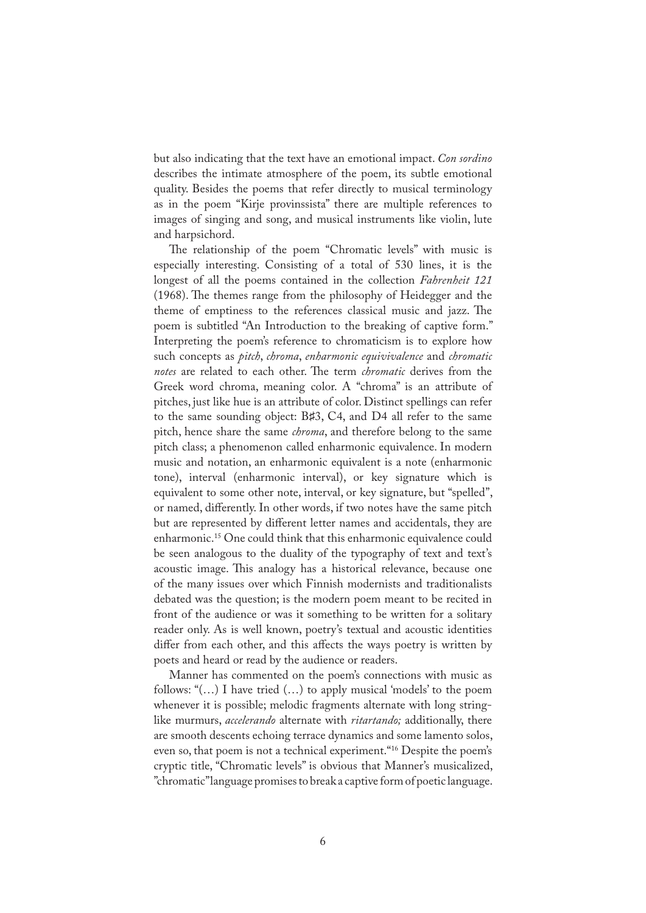but also indicating that the text have an emotional impact. *Con sordino* describes the intimate atmosphere of the poem, its subtle emotional quality. Besides the poems that refer directly to musical terminology as in the poem "Kirje provinssista" there are multiple references to images of singing and song, and musical instruments like violin, lute and harpsichord.

The relationship of the poem "Chromatic levels" with music is especially interesting. Consisting of a total of 530 lines, it is the longest of all the poems contained in the collection *Fahrenheit 121*  (1968). The themes range from the philosophy of Heidegger and the theme of emptiness to the references classical music and jazz. The poem is subtitled "An Introduction to the breaking of captive form." Interpreting the poem's reference to chromaticism is to explore how such concepts as *pitch*, *chroma*, *enharmonic equivivalence* and *chromatic notes* are related to each other. The term *chromatic* derives from the Greek word chroma, meaning color. A "chroma" is an attribute of pitches, just like hue is an attribute of color. Distinct spellings can refer to the same sounding object: B♯3, C4, and D4 all refer to the same pitch, hence share the same *chroma*, and therefore belong to the same pitch class; a phenomenon called enharmonic equivalence. In modern music and notation, an enharmonic equivalent is a note (enharmonic tone), interval (enharmonic interval), or key signature which is equivalent to some other note, interval, or key signature, but "spelled", or named, differently. In other words, if two notes have the same pitch but are represented by different letter names and accidentals, they are enharmonic.15 One could think that this enharmonic equivalence could be seen analogous to the duality of the typography of text and text's acoustic image. This analogy has a historical relevance, because one of the many issues over which Finnish modernists and traditionalists debated was the question; is the modern poem meant to be recited in front of the audience or was it something to be written for a solitary reader only. As is well known, poetry's textual and acoustic identities differ from each other, and this affects the ways poetry is written by poets and heard or read by the audience or readers.

Manner has commented on the poem's connections with music as follows: " $(...)$  I have tried  $(...)$  to apply musical 'models' to the poem whenever it is possible; melodic fragments alternate with long stringlike murmurs, *accelerando* alternate with *ritartando;* additionally, there are smooth descents echoing terrace dynamics and some lamento solos, even so, that poem is not a technical experiment."16 Despite the poem's cryptic title, "Chromatic levels" is obvious that Manner's musicalized, "chromatic" language promises to break a captive form of poetic language.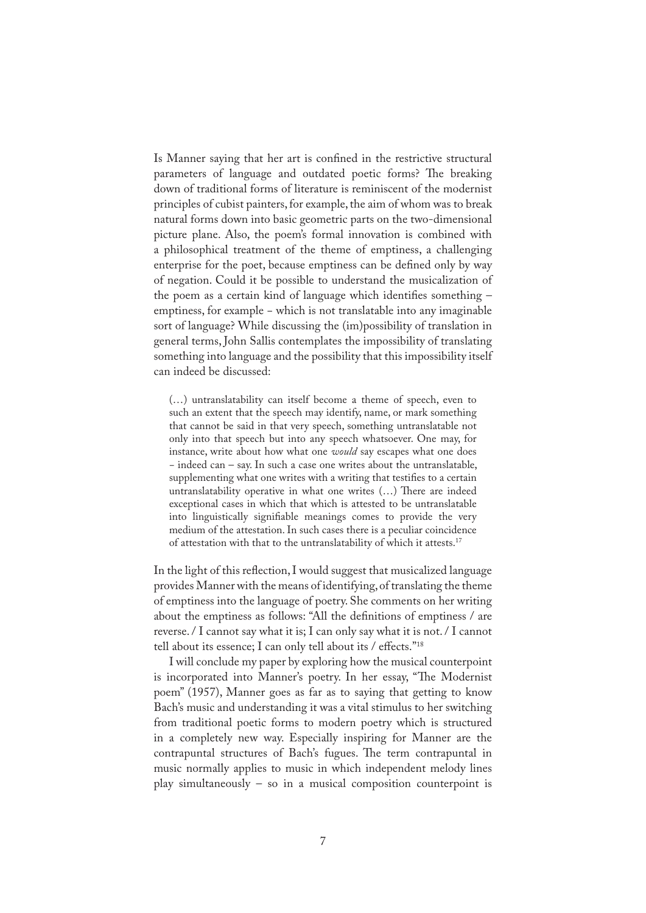Is Manner saying that her art is confined in the restrictive structural parameters of language and outdated poetic forms? The breaking down of traditional forms of literature is reminiscent of the modernist principles of cubist painters, for example, the aim of whom was to break natural forms down into basic geometric parts on the two-dimensional picture plane. Also, the poem's formal innovation is combined with a philosophical treatment of the theme of emptiness, a challenging enterprise for the poet, because emptiness can be defined only by way of negation. Could it be possible to understand the musicalization of the poem as a certain kind of language which identifies something emptiness, for example − which is not translatable into any imaginable sort of language? While discussing the (im)possibility of translation in general terms, John Sallis contemplates the impossibility of translating something into language and the possibility that this impossibility itself can indeed be discussed:

(…) untranslatability can itself become a theme of speech, even to such an extent that the speech may identify, name, or mark something that cannot be said in that very speech, something untranslatable not only into that speech but into any speech whatsoever. One may, for instance, write about how what one *would* say escapes what one does − indeed can – say. In such a case one writes about the untranslatable, supplementing what one writes with a writing that testifies to a certain untranslatability operative in what one writes (...) There are indeed exceptional cases in which that which is attested to be untranslatable into linguistically signifiable meanings comes to provide the very medium of the attestation. In such cases there is a peculiar coincidence of attestation with that to the untranslatability of which it attests.17

In the light of this reflection, I would suggest that musicalized language provides Manner with the means of identifying, of translating the theme of emptiness into the language of poetry. She comments on her writing about the emptiness as follows: "All the de�nitions of emptiness / are reverse. / I cannot say what it is; I can only say what it is not. / I cannot tell about its essence; I can only tell about its / effects."18

I will conclude my paper by exploring how the musical counterpoint is incorporated into Manner's poetry. In her essay, "The Modernist poem" (1957), Manner goes as far as to saying that getting to know Bach's music and understanding it was a vital stimulus to her switching from traditional poetic forms to modern poetry which is structured in a completely new way. Especially inspiring for Manner are the contrapuntal structures of Bach's fugues. The term contrapuntal in music normally applies to music in which independent melody lines play simultaneously – so in a musical composition counterpoint is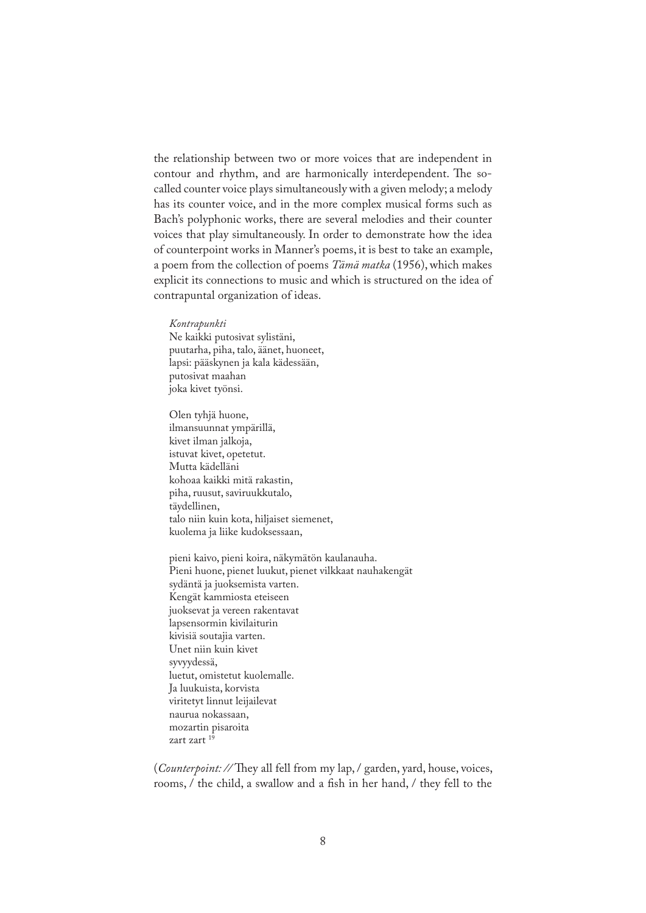the relationship between two or more voices that are independent in contour and rhythm, and are harmonically interdependent. The socalled counter voice plays simultaneously with a given melody; a melody has its counter voice, and in the more complex musical forms such as Bach's polyphonic works, there are several melodies and their counter voices that play simultaneously. In order to demonstrate how the idea of counterpoint works in Manner's poems, it is best to take an example, a poem from the collection of poems *Tämä matka* (1956), which makes explicit its connections to music and which is structured on the idea of contrapuntal organization of ideas.

*Kontrapunkti*  Ne kaikki putosivat sylistäni, puutarha, piha, talo, äänet, huoneet, lapsi: pääskynen ja kala kädessään, putosivat maahan joka kivet työnsi.

Olen tyhjä huone, ilmansuunnat ympärillä, kivet ilman jalkoja, istuvat kivet, opetetut. Mutta kädelläni kohoaa kaikki mitä rakastin, piha, ruusut, saviruukkutalo, täydellinen, talo niin kuin kota, hiljaiset siemenet, kuolema ja liike kudoksessaan,

pieni kaivo, pieni koira, näkymätön kaulanauha. Pieni huone, pienet luukut, pienet vilkkaat nauhakengät sydäntä ja juoksemista varten. Kengät kammiosta eteiseen juoksevat ja vereen rakentavat lapsensormin kivilaiturin kivisiä soutajia varten. Unet niin kuin kivet syvyydessä, luetut, omistetut kuolemalle. Ja luukuista, korvista viritetyt linnut leijailevat naurua nokassaan, mozartin pisaroita zart zart 19

(*Counterpoint:* // They all fell from my lap, / garden, yard, house, voices, rooms, / the child, a swallow and a fish in her hand, / they fell to the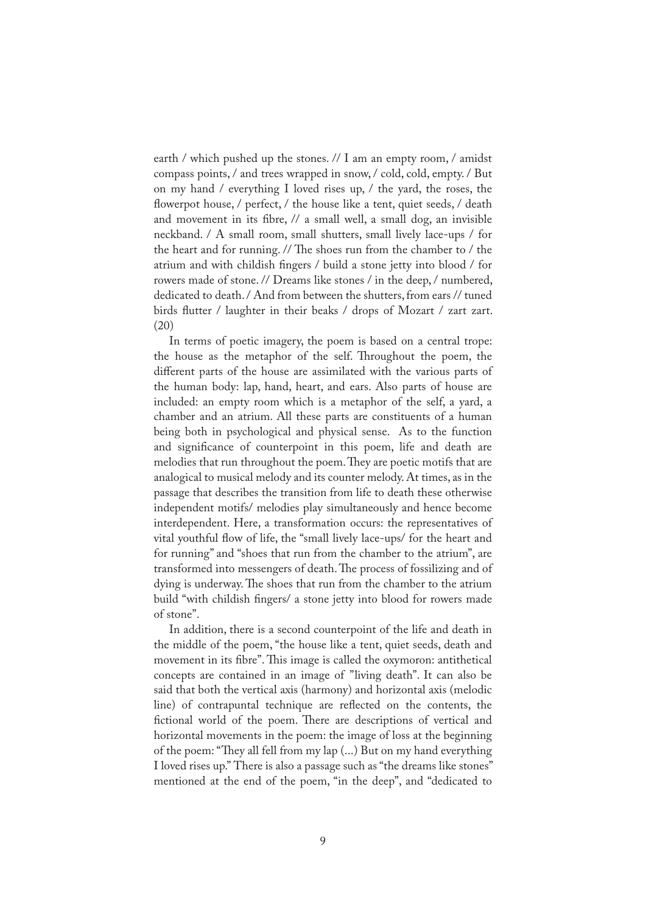earth / which pushed up the stones. // I am an empty room, / amidst compass points, / and trees wrapped in snow, / cold, cold, empty. / But on my hand / everything I loved rises up, / the yard, the roses, the flowerpot house, / perfect, / the house like a tent, quiet seeds, / death and movement in its fibre, // a small well, a small dog, an invisible neckband. / A small room, small shutters, small lively lace-ups / for the heart and for running.  $\frac{1}{\pi}$  The shoes run from the chamber to  $\frac{1}{\pi}$  the atrium and with childish fingers / build a stone jetty into blood / for rowers made of stone. // Dreams like stones / in the deep, / numbered, dedicated to death. / And from between the shutters, from ears // tuned birds flutter / laughter in their beaks / drops of Mozart / zart zart. (20)

In terms of poetic imagery, the poem is based on a central trope: the house as the metaphor of the self. Throughout the poem, the different parts of the house are assimilated with the various parts of the human body: lap, hand, heart, and ears. Also parts of house are included: an empty room which is a metaphor of the self, a yard, a chamber and an atrium. All these parts are constituents of a human being both in psychological and physical sense. As to the function and significance of counterpoint in this poem, life and death are melodies that run throughout the poem. They are poetic motifs that are analogical to musical melody and its counter melody. At times, as in the passage that describes the transition from life to death these otherwise independent motifs/ melodies play simultaneously and hence become interdependent. Here, a transformation occurs: the representatives of vital youthful flow of life, the "small lively lace-ups/ for the heart and for running" and "shoes that run from the chamber to the atrium", are transformed into messengers of death. The process of fossilizing and of dying is underway. The shoes that run from the chamber to the atrium build "with childish �ngers/ a stone jetty into blood for rowers made of stone".

In addition, there is a second counterpoint of the life and death in the middle of the poem, "the house like a tent, quiet seeds, death and movement in its fibre". This image is called the oxymoron: antithetical concepts are contained in an image of "living death". It can also be said that both the vertical axis (harmony) and horizontal axis (melodic line) of contrapuntal technique are re�ected on the contents, the fictional world of the poem. There are descriptions of vertical and horizontal movements in the poem: the image of loss at the beginning of the poem: "They all fell from my lap (...) But on my hand everything I loved rises up." There is also a passage such as "the dreams like stones" mentioned at the end of the poem, "in the deep", and "dedicated to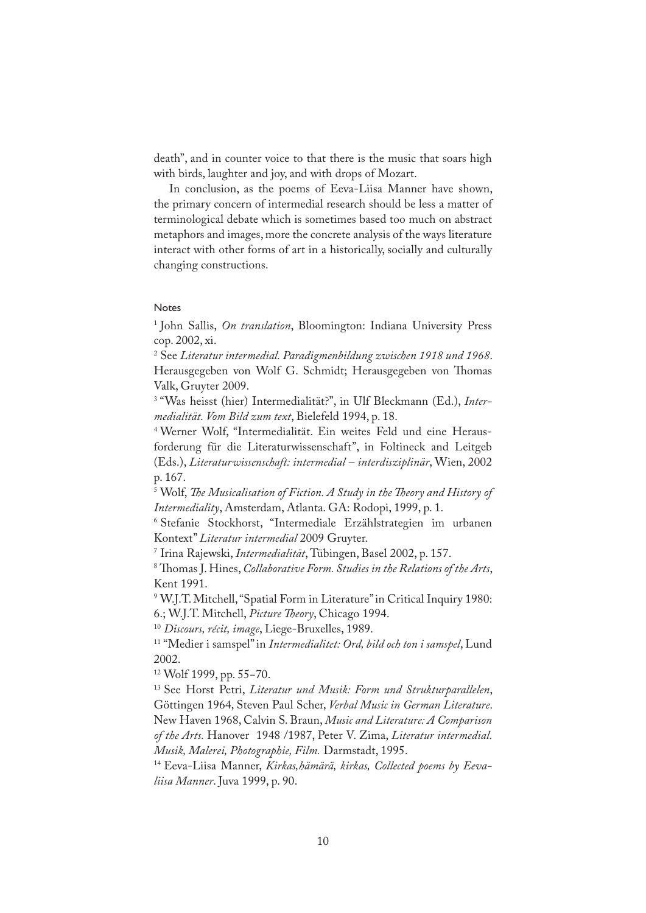death", and in counter voice to that there is the music that soars high with birds, laughter and joy, and with drops of Mozart.

In conclusion, as the poems of Eeva-Liisa Manner have shown, the primary concern of intermedial research should be less a matter of terminological debate which is sometimes based too much on abstract metaphors and images, more the concrete analysis of the ways literature interact with other forms of art in a historically, socially and culturally changing constructions.

#### Notes

1 John Sallis, *On translation*, Bloomington: Indiana University Press cop. 2002, xi.

2 See *Literatur intermedial. Paradigmenbildung zwischen 1918 und 1968*. Herausgegeben von Wolf G. Schmidt; Herausgegeben von Thomas Valk, Gruyter 2009.

3 "Was heisst (hier) Intermedialität?", in Ulf Bleckmann (Ed.), *Intermedialität. Vom Bild zum text*, Bielefeld 1994, p. 18.

4 Werner Wolf, "Intermedialität. Ein weites Feld und eine Herausforderung für die Literaturwissenschaft", in Foltineck and Leitgeb (Eds.), *Literaturwissenschaft: intermedial – interdisziplinär*, Wien, 2002 p. 167.

<sup>5</sup> Wolf, *The Musicalisation of Fiction. A Study in the Theory and History of Intermediality*, Amsterdam, Atlanta. GA: Rodopi, 1999, p. 1.

6 Stefanie Stockhorst, "Intermediale Erzählstrategien im urbanen Kontext" *Literatur intermedial* 2009 Gruyter.

7 Irina Rajewski, *Intermedialität*, Tübingen, Basel 2002, p. 157.

<sup>8</sup> Thomas J. Hines, *Collaborative Form. Studies in the Relations of the Arts*, Kent 1991.

9 W.J.T. Mitchell, "Spatial Form in Literature" in Critical Inquiry 1980: 6.; W.J.T. Mitchell, *Picture �eory*, Chicago 1994.

<sup>10</sup> *Discours, récit, image*, Liege-Bruxelles, 1989.

11 "Medier i samspel" in *Intermedialitet: Ord, bild och ton i samspel*, Lund 2002.

12 Wolf 1999, pp. 55−70.

13 See Horst Petri, *Literatur und Musik: Form und Strukturparallelen*, Göttingen 1964, Steven Paul Scher, *Verbal Music in German Literature*. New Haven 1968, Calvin S. Braun, *Music and Literature: A Comparison of the Arts.* Hanover 1948 /1987, Peter V. Zima, *Literatur intermedial. Musik, Malerei, Photographie, Film.* Darmstadt, 1995.

14 Eeva-Liisa Manner, *Kirkas,hämärä, kirkas, Collected poems by Eevaliisa Manner*. Juva 1999, p. 90.